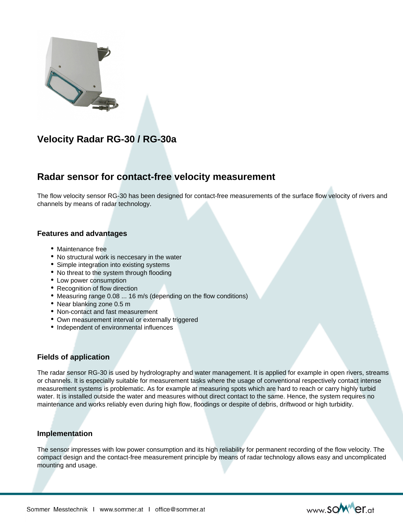

# **Velocity Radar RG-30 / RG-30a**

## **Radar sensor for contact-free velocity measurement**

The flow velocity sensor RG-30 has been designed for contact-free measurements of the surface flow velocity of rivers and channels by means of radar technology.

## **Features and advantages**

- Maintenance free
- No structural work is neccesary in the water
- Simple integration into existing systems
- No threat to the system through flooding
- Low power consumption
- Recognition of flow direction
- Measuring range 0.08 ... 16 m/s (depending on the flow conditions)
- Near blanking zone 0.5 m
- Non-contact and fast measurement
- Own measurement interval or externally triggered
- Independent of environmental influences

## **Fields of application**

The radar sensor RG-30 is used by hydrolography and water management. It is applied for example in open rivers, streams or channels. It is especially suitable for measurement tasks where the usage of conventional respectively contact intense measurement systems is problematic. As for example at measuring spots which are hard to reach or carry highly turbid water. It is installed outside the water and measures without direct contact to the same. Hence, the system requires no maintenance and works reliably even during high flow, floodings or despite of debris, driftwood or high turbidity.

#### **Implementation**

The sensor impresses with low power consumption and its high reliability for permanent recording of the flow velocity. The compact design and the contact-free measurement principle by means of radar technology allows easy and uncomplicated mounting and usage.